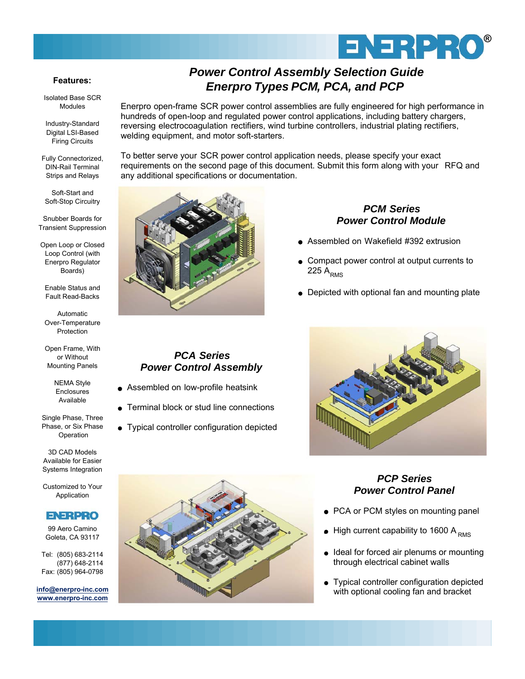

### *Power Control Assembly Selection Guide Enerpro Types PCM, PCA, and PCP*

Enerpro open-frame SCR power control assemblies are fully engineered for high performance in hundreds of open-loop and regulated power control applications, including battery chargers, reversing electrocoagulation rectifiers, wind turbine controllers, industrial plating rectifiers, welding equipment, and motor soft-starters.

To better serve your SCR power control application needs, please specify your exact requirements on the second page of this document. Submit this form along with your RFQ and any additional specifications or documentation.

#### *PCM Series Power Control Module*

- **Assembled on Wakefield #392 extrusion**
- Compact power control at output currents to 225  $A_{RMS}$
- Depicted with optional fan and mounting plate

# *PCA Series*

- Assembled on low-profile heatsink
- **Terminal block or stud line connections**

## *Power Control Assembly*

- 
- 
- Typical controller configuration depicted





### *Power Control Panel*

- PCA or PCM styles on mounting panel
- $\bullet$  High current capability to 1600 A RMS
- Ideal for forced air plenums or mounting through electrical cabinet walls
- Typical controller configuration depicted with optional cooling fan and bracket

#### **Features:**

Isolated Base SCR Modules

Industry-Standard Digital LSI-Based Firing Circuits

Fully Connectorized, DIN-Rail Terminal Strips and Relays

Soft-Start and Soft-Stop Circuitry

Snubber Boards for Transient Suppression

Open Loop or Closed Loop Control (with Enerpro Regulator Boards)

Enable Status and Fault Read-Backs

Automatic Over-Temperature Protection

Open Frame, With or Without Mounting Panels

> NEMA Style Enclosures Available

Single Phase, Three Phase, or Six Phase Operation

3D CAD Models Available for Easier Systems Integration

Customized to Your Application

### **ENERPRO**

99 Aero Camino Goleta, CA 93117

Tel: (805) 683-2114 (877) 648-2114 Fax: (805) 964-0798

**info@enerpro-inc.com www.enerpro-inc.com**